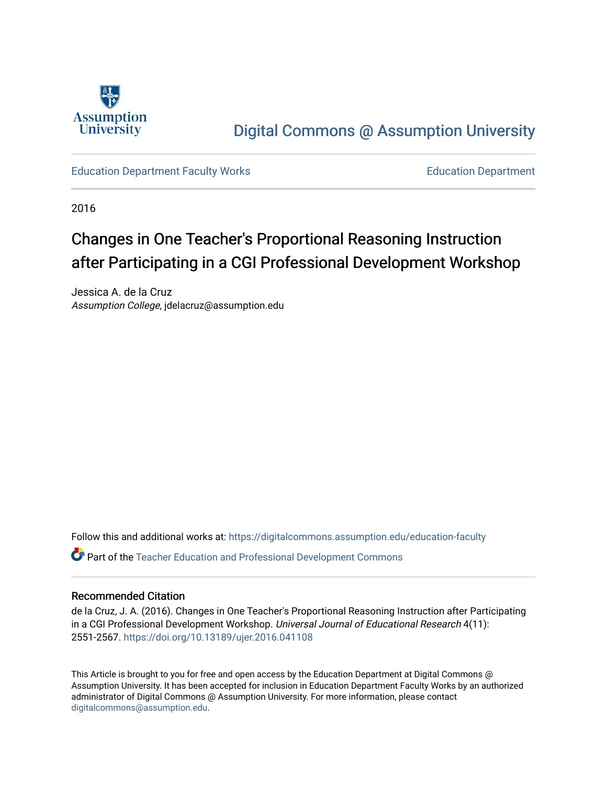

## [Digital Commons @ Assumption University](https://digitalcommons.assumption.edu/)

[Education Department Faculty Works](https://digitalcommons.assumption.edu/education-faculty) [Education Department](https://digitalcommons.assumption.edu/education) 

2016

# Changes in One Teacher's Proportional Reasoning Instruction after Participating in a CGI Professional Development Workshop

Jessica A. de la Cruz Assumption College, jdelacruz@assumption.edu

Follow this and additional works at: [https://digitalcommons.assumption.edu/education-faculty](https://digitalcommons.assumption.edu/education-faculty?utm_source=digitalcommons.assumption.edu%2Feducation-faculty%2F1&utm_medium=PDF&utm_campaign=PDFCoverPages) 

Part of the [Teacher Education and Professional Development Commons](http://network.bepress.com/hgg/discipline/803?utm_source=digitalcommons.assumption.edu%2Feducation-faculty%2F1&utm_medium=PDF&utm_campaign=PDFCoverPages) 

## Recommended Citation

de la Cruz, J. A. (2016). Changes in One Teacher's Proportional Reasoning Instruction after Participating in a CGI Professional Development Workshop. Universal Journal of Educational Research 4(11): 2551-2567. <https://doi.org/10.13189/ujer.2016.041108>

This Article is brought to you for free and open access by the Education Department at Digital Commons @ Assumption University. It has been accepted for inclusion in Education Department Faculty Works by an authorized administrator of Digital Commons @ Assumption University. For more information, please contact [digitalcommons@assumption.edu](mailto:digitalcommons@assumption.edu).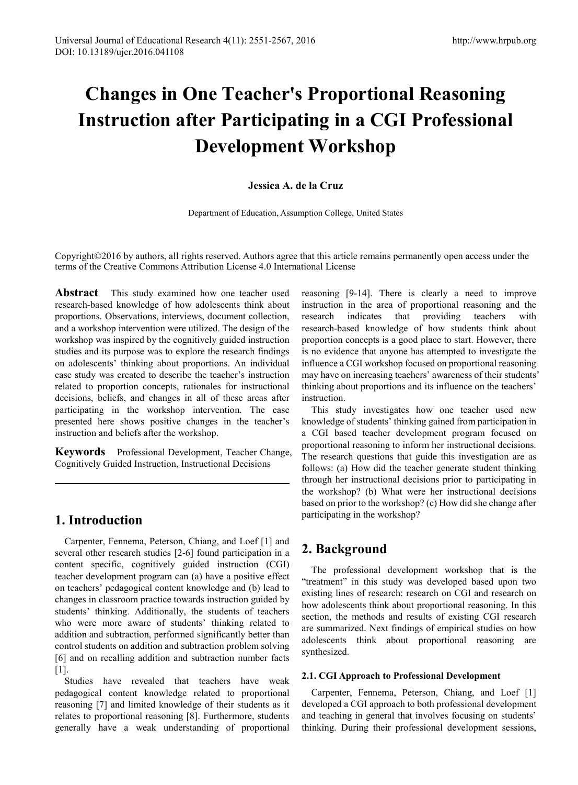# **Changes in One Teacher's Proportional Reasoning Instruction after Participating in a CGI Professional Development Workshop**

## **Jessica A. de la Cruz**

Department of Education, Assumption College, United States

Copyright©2016 by authors, all rights reserved. Authors agree that this article remains permanently open access under the terms of the Creative Commons Attribution License 4.0 International License

**Abstract** This study examined how one teacher used research-based knowledge of how adolescents think about proportions. Observations, interviews, document collection, and a workshop intervention were utilized. The design of the workshop was inspired by the cognitively guided instruction studies and its purpose was to explore the research findings on adolescents' thinking about proportions. An individual case study was created to describe the teacher's instruction related to proportion concepts, rationales for instructional decisions, beliefs, and changes in all of these areas after participating in the workshop intervention. The case presented here shows positive changes in the teacher's instruction and beliefs after the workshop.

**Keywords** Professional Development, Teacher Change, Cognitively Guided Instruction, Instructional Decisions

## **1. Introduction**

Carpenter, Fennema, Peterson, Chiang, and Loef [1] and several other research studies [2-6] found participation in a content specific, cognitively guided instruction (CGI) teacher development program can (a) have a positive effect on teachers' pedagogical content knowledge and (b) lead to changes in classroom practice towards instruction guided by students' thinking. Additionally, the students of teachers who were more aware of students' thinking related to addition and subtraction, performed significantly better than control students on addition and subtraction problem solving [6] and on recalling addition and subtraction number facts [1].

Studies have revealed that teachers have weak pedagogical content knowledge related to proportional reasoning [7] and limited knowledge of their students as it relates to proportional reasoning [8]. Furthermore, students generally have a weak understanding of proportional

reasoning [9-14]. There is clearly a need to improve instruction in the area of proportional reasoning and the research indicates that providing teachers with research-based knowledge of how students think about proportion concepts is a good place to start. However, there is no evidence that anyone has attempted to investigate the influence a CGI workshop focused on proportional reasoning may have on increasing teachers' awareness of their students' thinking about proportions and its influence on the teachers' instruction.

This study investigates how one teacher used new knowledge of students' thinking gained from participation in a CGI based teacher development program focused on proportional reasoning to inform her instructional decisions. The research questions that guide this investigation are as follows: (a) How did the teacher generate student thinking through her instructional decisions prior to participating in the workshop? (b) What were her instructional decisions based on prior to the workshop? (c) How did she change after participating in the workshop?

## **2. Background**

The professional development workshop that is the "treatment" in this study was developed based upon two existing lines of research: research on CGI and research on how adolescents think about proportional reasoning. In this section, the methods and results of existing CGI research are summarized. Next findings of empirical studies on how adolescents think about proportional reasoning are synthesized.

## **2.1. CGI Approach to Professional Development**

Carpenter, Fennema, Peterson, Chiang, and Loef [1] developed a CGI approach to both professional development and teaching in general that involves focusing on students' thinking. During their professional development sessions,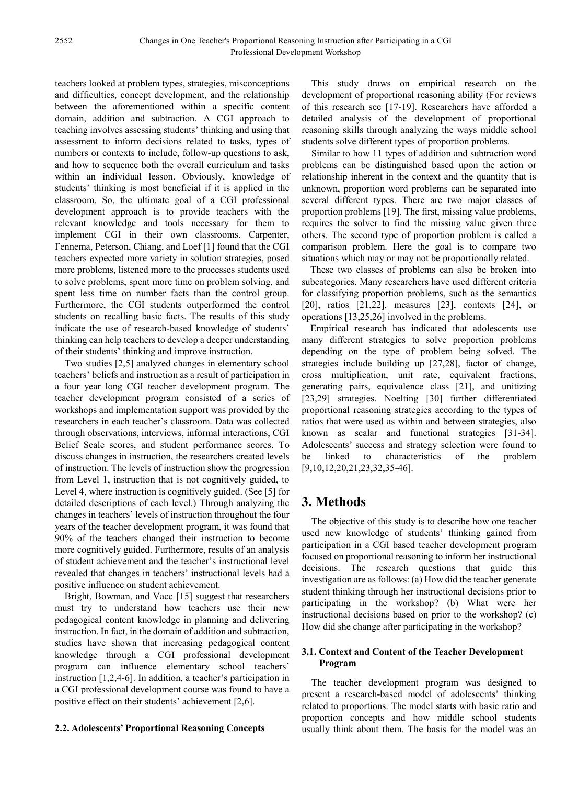teachers looked at problem types, strategies, misconceptions and difficulties, concept development, and the relationship between the aforementioned within a specific content domain, addition and subtraction. A CGI approach to teaching involves assessing students' thinking and using that assessment to inform decisions related to tasks, types of numbers or contexts to include, follow-up questions to ask, and how to sequence both the overall curriculum and tasks within an individual lesson. Obviously, knowledge of students' thinking is most beneficial if it is applied in the classroom. So, the ultimate goal of a CGI professional development approach is to provide teachers with the relevant knowledge and tools necessary for them to implement CGI in their own classrooms. Carpenter, Fennema, Peterson, Chiang, and Loef [1] found that the CGI teachers expected more variety in solution strategies, posed more problems, listened more to the processes students used to solve problems, spent more time on problem solving, and spent less time on number facts than the control group. Furthermore, the CGI students outperformed the control students on recalling basic facts. The results of this study indicate the use of research-based knowledge of students' thinking can help teachers to develop a deeper understanding of their students' thinking and improve instruction.

Two studies [2,5] analyzed changes in elementary school teachers' beliefs and instruction as a result of participation in a four year long CGI teacher development program. The teacher development program consisted of a series of workshops and implementation support was provided by the researchers in each teacher's classroom. Data was collected through observations, interviews, informal interactions, CGI Belief Scale scores, and student performance scores. To discuss changes in instruction, the researchers created levels of instruction. The levels of instruction show the progression from Level 1, instruction that is not cognitively guided, to Level 4, where instruction is cognitively guided. (See [5] for detailed descriptions of each level.) Through analyzing the changes in teachers' levels of instruction throughout the four years of the teacher development program, it was found that 90% of the teachers changed their instruction to become more cognitively guided. Furthermore, results of an analysis of student achievement and the teacher's instructional level revealed that changes in teachers' instructional levels had a positive influence on student achievement.

Bright, Bowman, and Vacc [15] suggest that researchers must try to understand how teachers use their new pedagogical content knowledge in planning and delivering instruction. In fact, in the domain of addition and subtraction, studies have shown that increasing pedagogical content knowledge through a CGI professional development program can influence elementary school teachers' instruction [1,2,4-6]. In addition, a teacher's participation in a CGI professional development course was found to have a positive effect on their students' achievement [2,6].

#### **2.2. Adolescents' Proportional Reasoning Concepts**

This study draws on empirical research on the development of proportional reasoning ability (For reviews of this research see [17-19]. Researchers have afforded a detailed analysis of the development of proportional reasoning skills through analyzing the ways middle school students solve different types of proportion problems.

Similar to how 11 types of addition and subtraction word problems can be distinguished based upon the action or relationship inherent in the context and the quantity that is unknown, proportion word problems can be separated into several different types. There are two major classes of proportion problems [19]. The first, missing value problems, requires the solver to find the missing value given three others. The second type of proportion problem is called a comparison problem. Here the goal is to compare two situations which may or may not be proportionally related.

These two classes of problems can also be broken into subcategories. Many researchers have used different criteria for classifying proportion problems, such as the semantics [20], ratios [21,22], measures [23], contexts [24], or operations [13,25,26] involved in the problems.

Empirical research has indicated that adolescents use many different strategies to solve proportion problems depending on the type of problem being solved. The strategies include building up [27,28], factor of change, cross multiplication, unit rate, equivalent fractions, generating pairs, equivalence class [21], and unitizing [23,29] strategies. Noelting [30] further differentiated proportional reasoning strategies according to the types of ratios that were used as within and between strategies, also known as scalar and functional strategies [31-34]. Adolescents' success and strategy selection were found to be linked to characteristics of the problem [9,10,12,20,21,23,32,35-46].

## **3. Methods**

The objective of this study is to describe how one teacher used new knowledge of students' thinking gained from participation in a CGI based teacher development program focused on proportional reasoning to inform her instructional decisions. The research questions that guide this investigation are as follows: (a) How did the teacher generate student thinking through her instructional decisions prior to participating in the workshop? (b) What were her instructional decisions based on prior to the workshop? (c) How did she change after participating in the workshop?

#### **3.1. Context and Content of the Teacher Development Program**

The teacher development program was designed to present a research-based model of adolescents' thinking related to proportions. The model starts with basic ratio and proportion concepts and how middle school students usually think about them. The basis for the model was an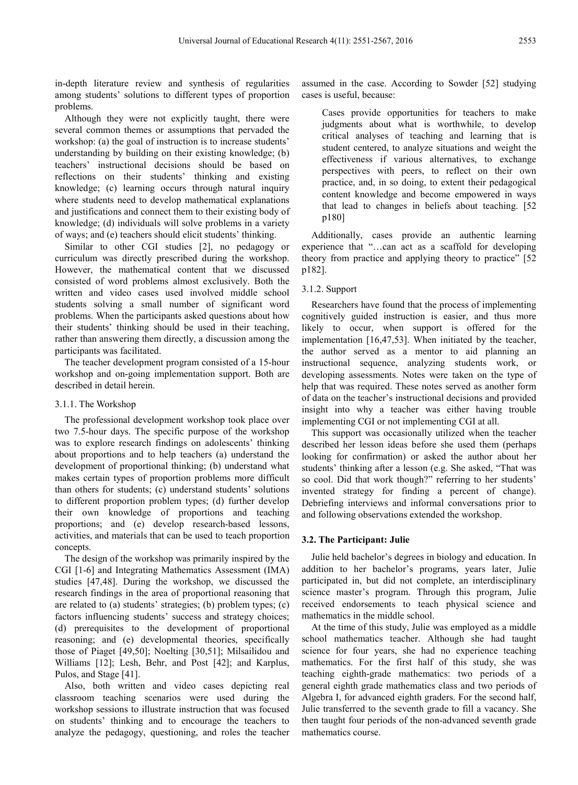in-depth literature review and synthesis of regularities among students' solutions to different types of proportion problems.

Although they were not explicitly taught, there were several common themes or assumptions that pervaded the workshop: (a) the goal of instruction is to increase students' understanding by building on their existing knowledge; (b) teachers' instructional decisions should be based on reflections on their students' thinking and existing knowledge; (c) learning occurs through natural inquiry where students need to develop mathematical explanations and justifications and connect them to their existing body of knowledge; (d) individuals will solve problems in a variety of ways; and (e) teachers should elicit students' thinking.

Similar to other CGI studies [2], no pedagogy or curriculum was directly prescribed during the workshop. However, the mathematical content that we discussed consisted of word problems almost exclusively. Both the written and video cases used involved middle school students solving a small number of significant word problems. When the participants asked questions about how their students' thinking should be used in their teaching, rather than answering them directly, a discussion among the participants was facilitated.

The teacher development program consisted of a 15-hour workshop and on-going implementation support. Both are described in detail herein.

#### 3.1.1. The Workshop

The professional development workshop took place over two 7.5-hour days. The specific purpose of the workshop was to explore research findings on adolescents' thinking about proportions and to help teachers (a) understand the development of proportional thinking; (b) understand what makes certain types of proportion problems more difficult than others for students; (c) understand students' solutions to different proportion problem types; (d) further develop their own knowledge of proportions and teaching proportions; and (e) develop research-based lessons, activities, and materials that can be used to teach proportion concepts.

The design of the workshop was primarily inspired by the CGI [1-6] and Integrating Mathematics Assessment (IMA) studies [47,48]. During the workshop, we discussed the research findings in the area of proportional reasoning that are related to (a) students' strategies; (b) problem types; (c) factors influencing students' success and strategy choices; (d) prerequisites to the development of proportional reasoning; and (e) developmental theories, specifically those of Piaget [49,50]; Noelting [30,51]; Milsailidou and Williams [12]; Lesh, Behr, and Post [42]; and Karplus, Pulos, and Stage [41].

Also, both written and video cases depicting real classroom teaching scenarios were used during the workshop sessions to illustrate instruction that was focused on students' thinking and to encourage the teachers to analyze the pedagogy, questioning, and roles the teacher assumed in the case. According to Sowder [52] studying cases is useful, because:

Cases provide opportunities for teachers to make judgments about what is worthwhile, to develop critical analyses of teaching and learning that is student centered, to analyze situations and weight the effectiveness if various alternatives, to exchange perspectives with peers, to reflect on their own practice, and, in so doing, to extent their pedagogical content knowledge and become empowered in ways that lead to changes in beliefs about teaching. [52 p180]

Additionally, cases provide an authentic learning experience that "…can act as a scaffold for developing theory from practice and applying theory to practice" [52 p182].

#### 3.1.2. Support

Researchers have found that the process of implementing cognitively guided instruction is easier, and thus more likely to occur, when support is offered for the implementation [16,47,53]. When initiated by the teacher, the author served as a mentor to aid planning an instructional sequence, analyzing students work, or developing assessments. Notes were taken on the type of help that was required. These notes served as another form of data on the teacher's instructional decisions and provided insight into why a teacher was either having trouble implementing CGI or not implementing CGI at all.

This support was occasionally utilized when the teacher described her lesson ideas before she used them (perhaps looking for confirmation) or asked the author about her students' thinking after a lesson (e.g. She asked, "That was so cool. Did that work though?" referring to her students' invented strategy for finding a percent of change). Debriefing interviews and informal conversations prior to and following observations extended the workshop.

#### **3.2. The Participant: Julie**

Julie held bachelor's degrees in biology and education. In addition to her bachelor's programs, years later, Julie participated in, but did not complete, an interdisciplinary science master's program. Through this program, Julie received endorsements to teach physical science and mathematics in the middle school.

At the time of this study, Julie was employed as a middle school mathematics teacher. Although she had taught science for four years, she had no experience teaching mathematics. For the first half of this study, she was teaching eighth-grade mathematics: two periods of a general eighth grade mathematics class and two periods of Algebra I, for advanced eighth graders. For the second half, Julie transferred to the seventh grade to fill a vacancy. She then taught four periods of the non-advanced seventh grade mathematics course.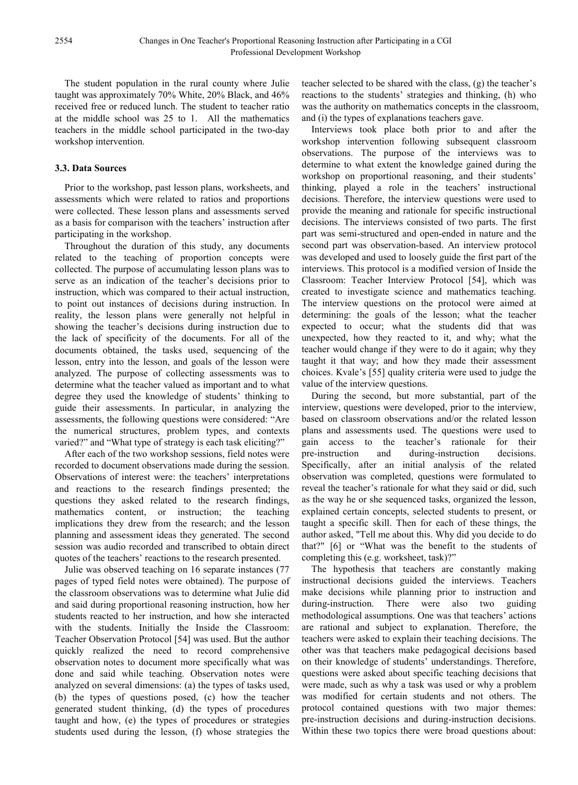The student population in the rural county where Julie taught was approximately 70% White, 20% Black, and 46% received free or reduced lunch. The student to teacher ratio at the middle school was 25 to 1. All the mathematics teachers in the middle school participated in the two-day workshop intervention.

## **3.3. Data Sources**

Prior to the workshop, past lesson plans, worksheets, and assessments which were related to ratios and proportions were collected. These lesson plans and assessments served as a basis for comparison with the teachers' instruction after participating in the workshop.

Throughout the duration of this study, any documents related to the teaching of proportion concepts were collected. The purpose of accumulating lesson plans was to serve as an indication of the teacher's decisions prior to instruction, which was compared to their actual instruction, to point out instances of decisions during instruction. In reality, the lesson plans were generally not helpful in showing the teacher's decisions during instruction due to the lack of specificity of the documents. For all of the documents obtained, the tasks used, sequencing of the lesson, entry into the lesson, and goals of the lesson were analyzed. The purpose of collecting assessments was to determine what the teacher valued as important and to what degree they used the knowledge of students' thinking to guide their assessments. In particular, in analyzing the assessments, the following questions were considered: "Are the numerical structures, problem types, and contexts varied?" and "What type of strategy is each task eliciting?"

After each of the two workshop sessions, field notes were recorded to document observations made during the session. Observations of interest were: the teachers' interpretations and reactions to the research findings presented; the questions they asked related to the research findings, mathematics content, or instruction; the teaching implications they drew from the research; and the lesson planning and assessment ideas they generated. The second session was audio recorded and transcribed to obtain direct quotes of the teachers' reactions to the research presented.

Julie was observed teaching on 16 separate instances (77 pages of typed field notes were obtained). The purpose of the classroom observations was to determine what Julie did and said during proportional reasoning instruction, how her students reacted to her instruction, and how she interacted with the students. Initially the Inside the Classroom: Teacher Observation Protocol [54] was used. But the author quickly realized the need to record comprehensive observation notes to document more specifically what was done and said while teaching. Observation notes were analyzed on several dimensions: (a) the types of tasks used, (b) the types of questions posed, (c) how the teacher generated student thinking, (d) the types of procedures taught and how, (e) the types of procedures or strategies students used during the lesson, (f) whose strategies the

teacher selected to be shared with the class, (g) the teacher's reactions to the students' strategies and thinking, (h) who was the authority on mathematics concepts in the classroom, and (i) the types of explanations teachers gave.

Interviews took place both prior to and after the workshop intervention following subsequent classroom observations. The purpose of the interviews was to determine to what extent the knowledge gained during the workshop on proportional reasoning, and their students' thinking, played a role in the teachers' instructional decisions. Therefore, the interview questions were used to provide the meaning and rationale for specific instructional decisions. The interviews consisted of two parts. The first part was semi-structured and open-ended in nature and the second part was observation-based. An interview protocol was developed and used to loosely guide the first part of the interviews. This protocol is a modified version of Inside the Classroom: Teacher Interview Protocol [54], which was created to investigate science and mathematics teaching. The interview questions on the protocol were aimed at determining: the goals of the lesson; what the teacher expected to occur; what the students did that was unexpected, how they reacted to it, and why; what the teacher would change if they were to do it again; why they taught it that way; and how they made their assessment choices. Kvale's [55] quality criteria were used to judge the value of the interview questions.

During the second, but more substantial, part of the interview, questions were developed, prior to the interview, based on classroom observations and/or the related lesson plans and assessments used. The questions were used to gain access to the teacher's rationale for their pre-instruction and during-instruction decisions. Specifically, after an initial analysis of the related observation was completed, questions were formulated to reveal the teacher's rationale for what they said or did, such as the way he or she sequenced tasks, organized the lesson, explained certain concepts, selected students to present, or taught a specific skill. Then for each of these things, the author asked, "Tell me about this. Why did you decide to do that?" [6] or "What was the benefit to the students of completing this (e.g. worksheet, task)?"

The hypothesis that teachers are constantly making instructional decisions guided the interviews. Teachers make decisions while planning prior to instruction and during-instruction. There were also two guiding methodological assumptions. One was that teachers' actions are rational and subject to explanation. Therefore, the teachers were asked to explain their teaching decisions. The other was that teachers make pedagogical decisions based on their knowledge of students' understandings. Therefore, questions were asked about specific teaching decisions that were made, such as why a task was used or why a problem was modified for certain students and not others. The protocol contained questions with two major themes: pre-instruction decisions and during-instruction decisions. Within these two topics there were broad questions about: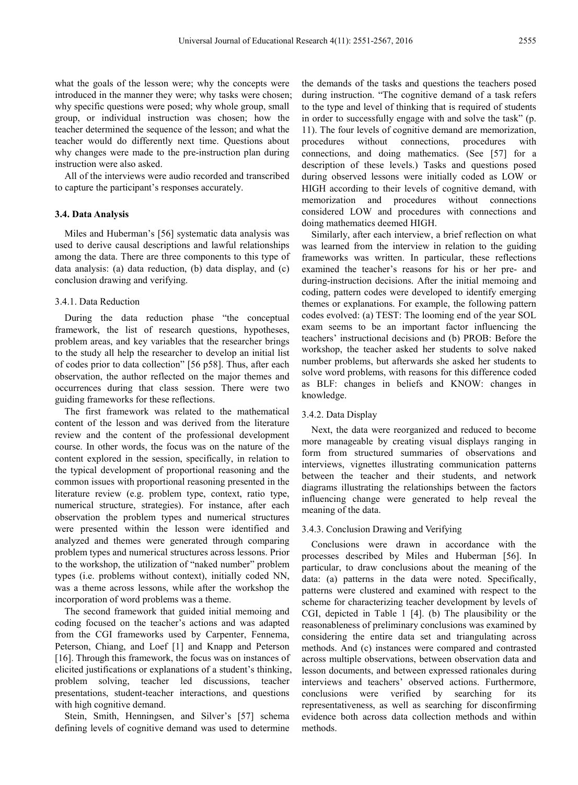what the goals of the lesson were; why the concepts were introduced in the manner they were; why tasks were chosen; why specific questions were posed; why whole group, small group, or individual instruction was chosen; how the teacher determined the sequence of the lesson; and what the teacher would do differently next time. Questions about why changes were made to the pre-instruction plan during instruction were also asked.

All of the interviews were audio recorded and transcribed to capture the participant's responses accurately.

#### **3.4. Data Analysis**

Miles and Huberman's [56] systematic data analysis was used to derive causal descriptions and lawful relationships among the data. There are three components to this type of data analysis: (a) data reduction, (b) data display, and (c) conclusion drawing and verifying.

#### 3.4.1. Data Reduction

During the data reduction phase "the conceptual framework, the list of research questions, hypotheses, problem areas, and key variables that the researcher brings to the study all help the researcher to develop an initial list of codes prior to data collection" [56 p58]. Thus, after each observation, the author reflected on the major themes and occurrences during that class session. There were two guiding frameworks for these reflections.

The first framework was related to the mathematical content of the lesson and was derived from the literature review and the content of the professional development course. In other words, the focus was on the nature of the content explored in the session, specifically, in relation to the typical development of proportional reasoning and the common issues with proportional reasoning presented in the literature review (e.g. problem type, context, ratio type, numerical structure, strategies). For instance, after each observation the problem types and numerical structures were presented within the lesson were identified and analyzed and themes were generated through comparing problem types and numerical structures across lessons. Prior to the workshop, the utilization of "naked number" problem types (i.e. problems without context), initially coded NN, was a theme across lessons, while after the workshop the incorporation of word problems was a theme.

The second framework that guided initial memoing and coding focused on the teacher's actions and was adapted from the CGI frameworks used by Carpenter, Fennema, Peterson, Chiang, and Loef [1] and Knapp and Peterson [16]. Through this framework, the focus was on instances of elicited justifications or explanations of a student's thinking, problem solving, teacher led discussions, teacher presentations, student-teacher interactions, and questions with high cognitive demand.

Stein, Smith, Henningsen, and Silver's [57] schema defining levels of cognitive demand was used to determine the demands of the tasks and questions the teachers posed during instruction. "The cognitive demand of a task refers to the type and level of thinking that is required of students in order to successfully engage with and solve the task" (p. 11). The four levels of cognitive demand are memorization, procedures without connections, procedures with connections, and doing mathematics. (See [57] for a description of these levels.) Tasks and questions posed during observed lessons were initially coded as LOW or HIGH according to their levels of cognitive demand, with memorization and procedures without connections considered LOW and procedures with connections and doing mathematics deemed HIGH.

Similarly, after each interview, a brief reflection on what was learned from the interview in relation to the guiding frameworks was written. In particular, these reflections examined the teacher's reasons for his or her pre- and during-instruction decisions. After the initial memoing and coding, pattern codes were developed to identify emerging themes or explanations. For example, the following pattern codes evolved: (a) TEST: The looming end of the year SOL exam seems to be an important factor influencing the teachers' instructional decisions and (b) PROB: Before the workshop, the teacher asked her students to solve naked number problems, but afterwards she asked her students to solve word problems, with reasons for this difference coded as BLF: changes in beliefs and KNOW: changes in knowledge.

#### 3.4.2. Data Display

Next, the data were reorganized and reduced to become more manageable by creating visual displays ranging in form from structured summaries of observations and interviews, vignettes illustrating communication patterns between the teacher and their students, and network diagrams illustrating the relationships between the factors influencing change were generated to help reveal the meaning of the data.

#### 3.4.3. Conclusion Drawing and Verifying

Conclusions were drawn in accordance with the processes described by Miles and Huberman [56]. In particular, to draw conclusions about the meaning of the data: (a) patterns in the data were noted. Specifically, patterns were clustered and examined with respect to the scheme for characterizing teacher development by levels of CGI, depicted in Table 1 [4]. (b) The plausibility or the reasonableness of preliminary conclusions was examined by considering the entire data set and triangulating across methods. And (c) instances were compared and contrasted across multiple observations, between observation data and lesson documents, and between expressed rationales during interviews and teachers' observed actions. Furthermore, conclusions were verified by searching for its representativeness, as well as searching for disconfirming evidence both across data collection methods and within methods.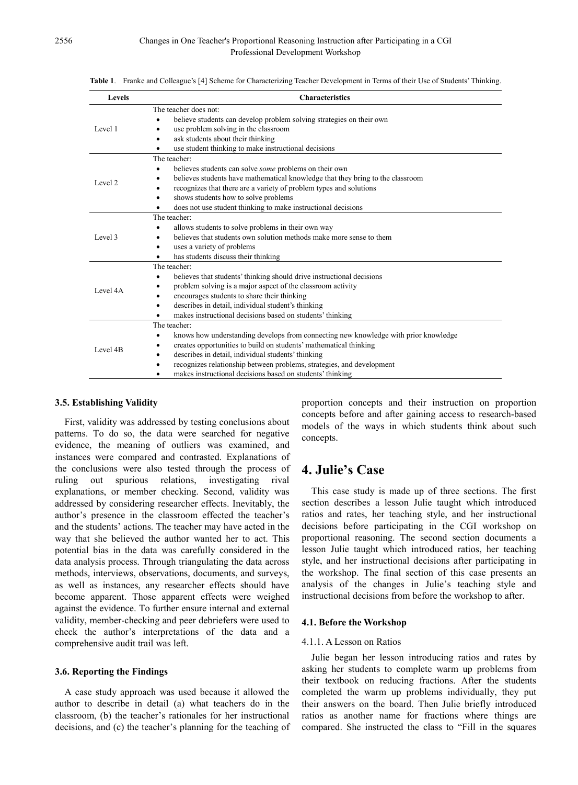| <b>Levels</b> | <b>Characteristics</b>                                                              |  |  |
|---------------|-------------------------------------------------------------------------------------|--|--|
| Level 1       | The teacher does not:                                                               |  |  |
|               | believe students can develop problem solving strategies on their own                |  |  |
|               | use problem solving in the classroom                                                |  |  |
|               | ask students about their thinking<br>٠                                              |  |  |
|               | use student thinking to make instructional decisions                                |  |  |
| Level 2       | The teacher:                                                                        |  |  |
|               | believes students can solve <i>some</i> problems on their own                       |  |  |
|               | believes students have mathematical knowledge that they bring to the classroom      |  |  |
|               | recognizes that there are a variety of problem types and solutions                  |  |  |
|               | shows students how to solve problems                                                |  |  |
|               | does not use student thinking to make instructional decisions                       |  |  |
|               | The teacher:                                                                        |  |  |
|               | allows students to solve problems in their own way                                  |  |  |
| Level 3       | believes that students own solution methods make more sense to them                 |  |  |
|               | uses a variety of problems<br>$\bullet$                                             |  |  |
|               | has students discuss their thinking                                                 |  |  |
|               | The teacher:                                                                        |  |  |
|               | believes that students' thinking should drive instructional decisions<br>$\bullet$  |  |  |
| Level 4A      | problem solving is a major aspect of the classroom activity                         |  |  |
|               | encourages students to share their thinking                                         |  |  |
|               | describes in detail, individual student's thinking<br>$\bullet$                     |  |  |
|               | makes instructional decisions based on students' thinking                           |  |  |
|               | The teacher:                                                                        |  |  |
|               | knows how understanding develops from connecting new knowledge with prior knowledge |  |  |
| Level 4B      | creates opportunities to build on students' mathematical thinking                   |  |  |
|               | describes in detail, individual students' thinking                                  |  |  |
|               | recognizes relationship between problems, strategies, and development               |  |  |
|               | makes instructional decisions based on students' thinking                           |  |  |

**Table 1**. Franke and Colleague's [4] Scheme for Characterizing Teacher Development in Terms of their Use of Students' Thinking.

#### **3.5. Establishing Validity**

First, validity was addressed by testing conclusions about patterns. To do so, the data were searched for negative evidence, the meaning of outliers was examined, and instances were compared and contrasted. Explanations of the conclusions were also tested through the process of ruling out spurious relations, investigating rival explanations, or member checking. Second, validity was addressed by considering researcher effects. Inevitably, the author's presence in the classroom effected the teacher's and the students' actions. The teacher may have acted in the way that she believed the author wanted her to act. This potential bias in the data was carefully considered in the data analysis process. Through triangulating the data across methods, interviews, observations, documents, and surveys, as well as instances, any researcher effects should have become apparent. Those apparent effects were weighed against the evidence. To further ensure internal and external validity, member-checking and peer debriefers were used to check the author's interpretations of the data and a comprehensive audit trail was left.

#### **3.6. Reporting the Findings**

A case study approach was used because it allowed the author to describe in detail (a) what teachers do in the classroom, (b) the teacher's rationales for her instructional decisions, and (c) the teacher's planning for the teaching of

proportion concepts and their instruction on proportion concepts before and after gaining access to research-based models of the ways in which students think about such concepts.

## **4. Julie's Case**

This case study is made up of three sections. The first section describes a lesson Julie taught which introduced ratios and rates, her teaching style, and her instructional decisions before participating in the CGI workshop on proportional reasoning. The second section documents a lesson Julie taught which introduced ratios, her teaching style, and her instructional decisions after participating in the workshop. The final section of this case presents an analysis of the changes in Julie's teaching style and instructional decisions from before the workshop to after.

#### **4.1. Before the Workshop**

#### 4.1.1. A Lesson on Ratios

Julie began her lesson introducing ratios and rates by asking her students to complete warm up problems from their textbook on reducing fractions. After the students completed the warm up problems individually, they put their answers on the board. Then Julie briefly introduced ratios as another name for fractions where things are compared. She instructed the class to "Fill in the squares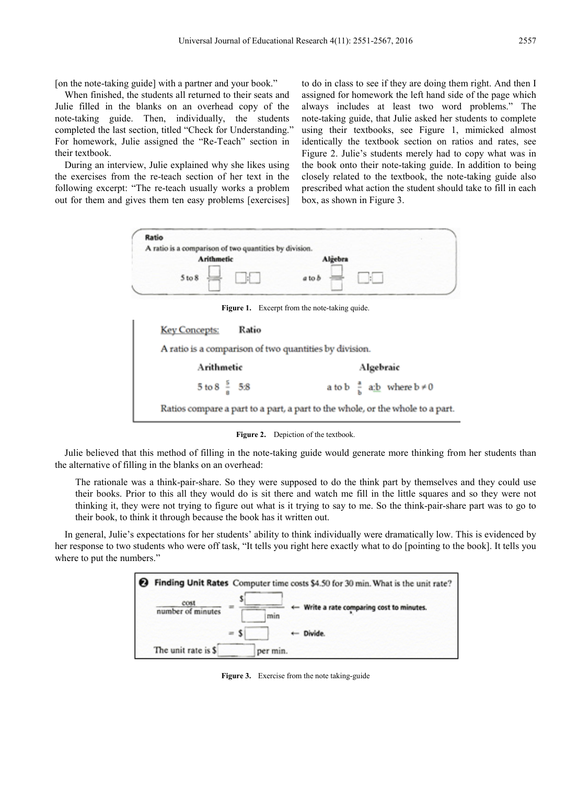[on the note-taking guide] with a partner and your book."

When finished, the students all returned to their seats and Julie filled in the blanks on an overhead copy of the note-taking guide. Then, individually, the students completed the last section, titled "Check for Understanding." For homework, Julie assigned the "Re-Teach" section in their textbook.

During an interview, Julie explained why she likes using the exercises from the re-teach section of her text in the following excerpt: "The re-teach usually works a problem out for them and gives them ten easy problems [exercises]

to do in class to see if they are doing them right. And then I assigned for homework the left hand side of the page which always includes at least two word problems." The note-taking guide, that Julie asked her students to complete using their textbooks, see Figure 1, mimicked almost identically the textbook section on ratios and rates, see Figure 2. Julie's students merely had to copy what was in the book onto their note-taking guide. In addition to being closely related to the textbook, the note-taking guide also prescribed what action the student should take to fill in each box, as shown in Figure 3.

| Ratio<br>A ratio is a comparison of two quantities by division. |                                                                               |  |  |  |
|-----------------------------------------------------------------|-------------------------------------------------------------------------------|--|--|--|
| <b>Arithmetic</b>                                               | Algebra                                                                       |  |  |  |
| 5 to 8                                                          | a to b                                                                        |  |  |  |
| <b>Figure 1.</b> Excerpt from the note-taking quide.            |                                                                               |  |  |  |
| Ratio<br><b>Key Concepts:</b>                                   |                                                                               |  |  |  |
| A ratio is a comparison of two quantities by division.          |                                                                               |  |  |  |
| Arithmetic                                                      | Algebraic                                                                     |  |  |  |
| $5 \text{ to } 8\frac{5}{9}$ 5.8                                | a to b $\frac{a}{b}$ a:b where $b \neq 0$                                     |  |  |  |
|                                                                 | Ratios compare a part to a part, a part to the whole, or the whole to a part. |  |  |  |

Figure 2. Depiction of the textbook.

Julie believed that this method of filling in the note-taking guide would generate more thinking from her students than the alternative of filling in the blanks on an overhead:

The rationale was a think-pair-share. So they were supposed to do the think part by themselves and they could use their books. Prior to this all they would do is sit there and watch me fill in the little squares and so they were not thinking it, they were not trying to figure out what is it trying to say to me. So the think-pair-share part was to go to their book, to think it through because the book has it written out.

In general, Julie's expectations for her students' ability to think individually were dramatically low. This is evidenced by her response to two students who were off task, "It tells you right here exactly what to do [pointing to the book]. It tells you where to put the numbers."



**Figure 3.** Exercise from the note taking-guide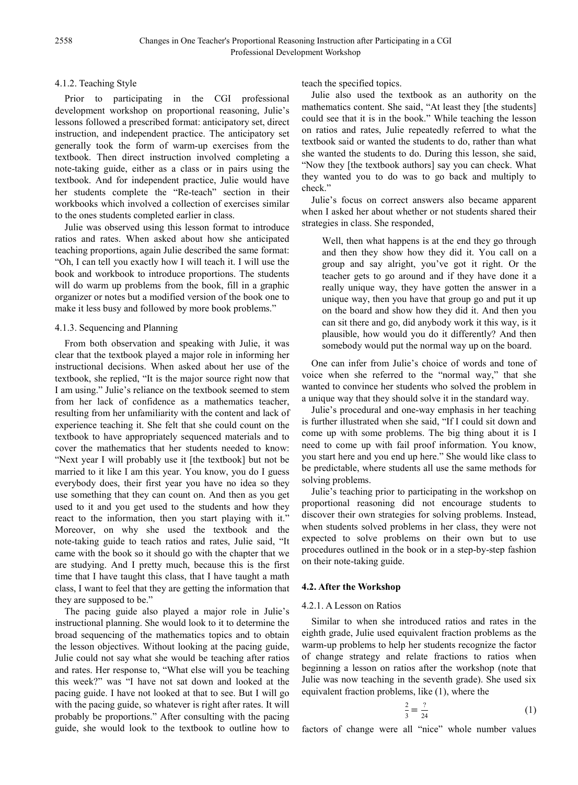## 4.1.2. Teaching Style

Prior to participating in the CGI professional development workshop on proportional reasoning, Julie's lessons followed a prescribed format: anticipatory set, direct instruction, and independent practice. The anticipatory set generally took the form of warm-up exercises from the textbook. Then direct instruction involved completing a note-taking guide, either as a class or in pairs using the textbook. And for independent practice, Julie would have her students complete the "Re-teach" section in their workbooks which involved a collection of exercises similar to the ones students completed earlier in class.

Julie was observed using this lesson format to introduce ratios and rates. When asked about how she anticipated teaching proportions, again Julie described the same format: "Oh, I can tell you exactly how I will teach it. I will use the book and workbook to introduce proportions. The students will do warm up problems from the book, fill in a graphic organizer or notes but a modified version of the book one to make it less busy and followed by more book problems."

## 4.1.3. Sequencing and Planning

From both observation and speaking with Julie, it was clear that the textbook played a major role in informing her instructional decisions. When asked about her use of the textbook, she replied, "It is the major source right now that I am using." Julie's reliance on the textbook seemed to stem from her lack of confidence as a mathematics teacher, resulting from her unfamiliarity with the content and lack of experience teaching it. She felt that she could count on the textbook to have appropriately sequenced materials and to cover the mathematics that her students needed to know: "Next year I will probably use it [the textbook] but not be married to it like I am this year. You know, you do I guess everybody does, their first year you have no idea so they use something that they can count on. And then as you get used to it and you get used to the students and how they react to the information, then you start playing with it." Moreover, on why she used the textbook and the note-taking guide to teach ratios and rates, Julie said, "It came with the book so it should go with the chapter that we are studying. And I pretty much, because this is the first time that I have taught this class, that I have taught a math class, I want to feel that they are getting the information that they are supposed to be."

The pacing guide also played a major role in Julie's instructional planning. She would look to it to determine the broad sequencing of the mathematics topics and to obtain the lesson objectives. Without looking at the pacing guide, Julie could not say what she would be teaching after ratios and rates. Her response to, "What else will you be teaching this week?" was "I have not sat down and looked at the pacing guide. I have not looked at that to see. But I will go with the pacing guide, so whatever is right after rates. It will probably be proportions." After consulting with the pacing guide, she would look to the textbook to outline how to teach the specified topics.

Julie also used the textbook as an authority on the mathematics content. She said, "At least they [the students] could see that it is in the book." While teaching the lesson on ratios and rates, Julie repeatedly referred to what the textbook said or wanted the students to do, rather than what she wanted the students to do. During this lesson, she said, "Now they [the textbook authors] say you can check. What they wanted you to do was to go back and multiply to check."

Julie's focus on correct answers also became apparent when I asked her about whether or not students shared their strategies in class. She responded,

Well, then what happens is at the end they go through and then they show how they did it. You call on a group and say alright, you've got it right. Or the teacher gets to go around and if they have done it a really unique way, they have gotten the answer in a unique way, then you have that group go and put it up on the board and show how they did it. And then you can sit there and go, did anybody work it this way, is it plausible, how would you do it differently? And then somebody would put the normal way up on the board.

One can infer from Julie's choice of words and tone of voice when she referred to the "normal way," that she wanted to convince her students who solved the problem in a unique way that they should solve it in the standard way.

Julie's procedural and one-way emphasis in her teaching is further illustrated when she said, "If I could sit down and come up with some problems. The big thing about it is I need to come up with fail proof information. You know, you start here and you end up here." She would like class to be predictable, where students all use the same methods for solving problems.

Julie's teaching prior to participating in the workshop on proportional reasoning did not encourage students to discover their own strategies for solving problems. Instead, when students solved problems in her class, they were not expected to solve problems on their own but to use procedures outlined in the book or in a step-by-step fashion on their note-taking guide.

## **4.2. After the Workshop**

## 4.2.1. A Lesson on Ratios

Similar to when she introduced ratios and rates in the eighth grade, Julie used equivalent fraction problems as the warm-up problems to help her students recognize the factor of change strategy and relate fractions to ratios when beginning a lesson on ratios after the workshop (note that Julie was now teaching in the seventh grade). She used six equivalent fraction problems, like (1), where the

$$
\frac{2}{3} = \frac{?}{24}
$$
 (1)

factors of change were all "nice" whole number values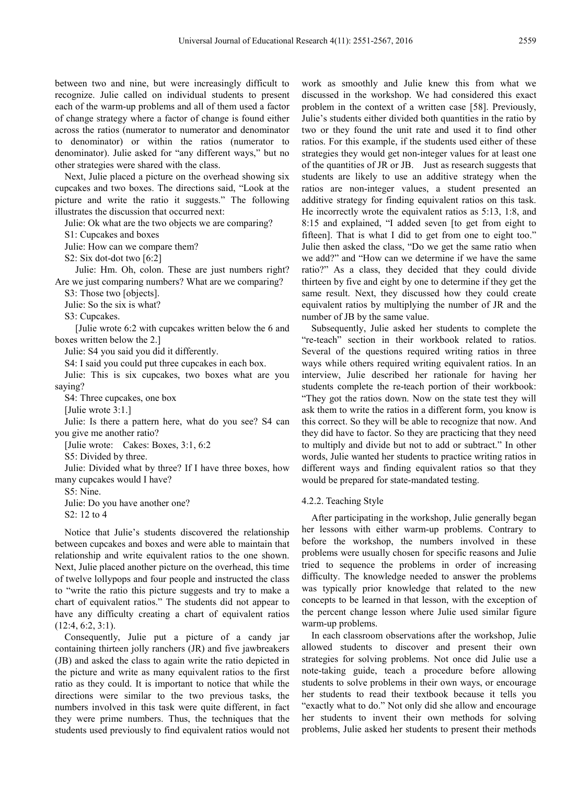between two and nine, but were increasingly difficult to recognize. Julie called on individual students to present each of the warm-up problems and all of them used a factor of change strategy where a factor of change is found either across the ratios (numerator to numerator and denominator to denominator) or within the ratios (numerator to denominator). Julie asked for "any different ways," but no other strategies were shared with the class.

Next, Julie placed a picture on the overhead showing six cupcakes and two boxes. The directions said, "Look at the picture and write the ratio it suggests." The following illustrates the discussion that occurred next:

Julie: Ok what are the two objects we are comparing?

S1: Cupcakes and boxes

Julie: How can we compare them?

S2: Six dot-dot two [6:2]

Julie: Hm. Oh, colon. These are just numbers right? Are we just comparing numbers? What are we comparing?

S3: Those two [objects].

Julie: So the six is what?

S3: Cupcakes.

[Julie wrote 6:2 with cupcakes written below the 6 and boxes written below the 2.]

Julie: S4 you said you did it differently.

S4: I said you could put three cupcakes in each box.

Julie: This is six cupcakes, two boxes what are you saying?

S4: Three cupcakes, one box

[Julie wrote 3:1.]

Julie: Is there a pattern here, what do you see? S4 can you give me another ratio?

[Julie wrote: Cakes: Boxes, 3:1, 6:2

S5: Divided by three.

Julie: Divided what by three? If I have three boxes, how many cupcakes would I have?

S5: Nine.

Julie: Do you have another one? S2: 12 to 4

Notice that Julie's students discovered the relationship between cupcakes and boxes and were able to maintain that relationship and write equivalent ratios to the one shown. Next, Julie placed another picture on the overhead, this time of twelve lollypops and four people and instructed the class to "write the ratio this picture suggests and try to make a chart of equivalent ratios." The students did not appear to have any difficulty creating a chart of equivalent ratios (12:4, 6:2, 3:1).

Consequently, Julie put a picture of a candy jar containing thirteen jolly ranchers (JR) and five jawbreakers (JB) and asked the class to again write the ratio depicted in the picture and write as many equivalent ratios to the first ratio as they could. It is important to notice that while the directions were similar to the two previous tasks, the numbers involved in this task were quite different, in fact they were prime numbers. Thus, the techniques that the students used previously to find equivalent ratios would not

work as smoothly and Julie knew this from what we discussed in the workshop. We had considered this exact problem in the context of a written case [58]. Previously, Julie's students either divided both quantities in the ratio by two or they found the unit rate and used it to find other ratios. For this example, if the students used either of these strategies they would get non-integer values for at least one of the quantities of JR or JB. Just as research suggests that students are likely to use an additive strategy when the ratios are non-integer values, a student presented an additive strategy for finding equivalent ratios on this task. He incorrectly wrote the equivalent ratios as 5:13, 1:8, and 8:15 and explained, "I added seven [to get from eight to fifteen]. That is what I did to get from one to eight too." Julie then asked the class, "Do we get the same ratio when we add?" and "How can we determine if we have the same ratio?" As a class, they decided that they could divide thirteen by five and eight by one to determine if they get the same result. Next, they discussed how they could create equivalent ratios by multiplying the number of JR and the number of JB by the same value.

Subsequently, Julie asked her students to complete the "re-teach" section in their workbook related to ratios. Several of the questions required writing ratios in three ways while others required writing equivalent ratios. In an interview, Julie described her rationale for having her students complete the re-teach portion of their workbook: "They got the ratios down. Now on the state test they will ask them to write the ratios in a different form, you know is this correct. So they will be able to recognize that now. And they did have to factor. So they are practicing that they need to multiply and divide but not to add or subtract." In other words, Julie wanted her students to practice writing ratios in different ways and finding equivalent ratios so that they would be prepared for state-mandated testing.

#### 4.2.2. Teaching Style

After participating in the workshop, Julie generally began her lessons with either warm-up problems. Contrary to before the workshop, the numbers involved in these problems were usually chosen for specific reasons and Julie tried to sequence the problems in order of increasing difficulty. The knowledge needed to answer the problems was typically prior knowledge that related to the new concepts to be learned in that lesson, with the exception of the percent change lesson where Julie used similar figure warm-up problems.

In each classroom observations after the workshop, Julie allowed students to discover and present their own strategies for solving problems. Not once did Julie use a note-taking guide, teach a procedure before allowing students to solve problems in their own ways, or encourage her students to read their textbook because it tells you "exactly what to do." Not only did she allow and encourage her students to invent their own methods for solving problems, Julie asked her students to present their methods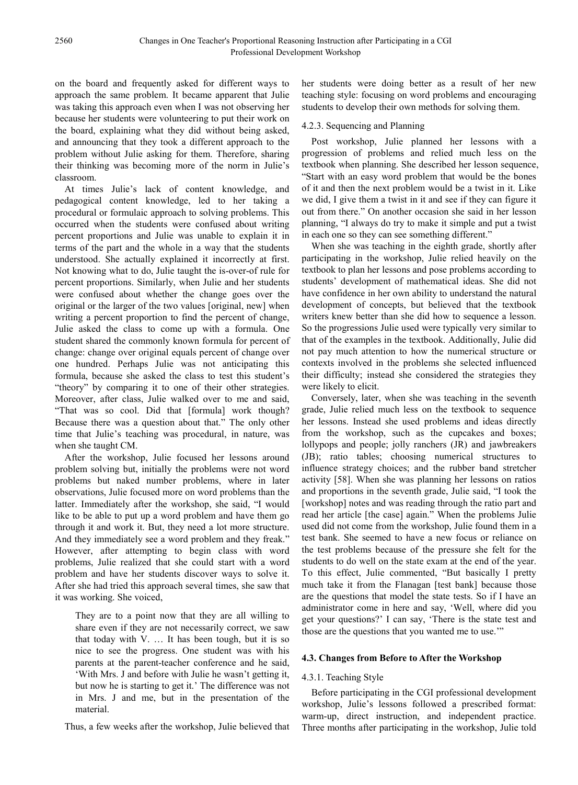on the board and frequently asked for different ways to approach the same problem. It became apparent that Julie was taking this approach even when I was not observing her because her students were volunteering to put their work on the board, explaining what they did without being asked, and announcing that they took a different approach to the problem without Julie asking for them. Therefore, sharing their thinking was becoming more of the norm in Julie's classroom.

At times Julie's lack of content knowledge, and pedagogical content knowledge, led to her taking a procedural or formulaic approach to solving problems. This occurred when the students were confused about writing percent proportions and Julie was unable to explain it in terms of the part and the whole in a way that the students understood. She actually explained it incorrectly at first. Not knowing what to do, Julie taught the is-over-of rule for percent proportions. Similarly, when Julie and her students were confused about whether the change goes over the original or the larger of the two values [original, new] when writing a percent proportion to find the percent of change, Julie asked the class to come up with a formula. One student shared the commonly known formula for percent of change: change over original equals percent of change over one hundred. Perhaps Julie was not anticipating this formula, because she asked the class to test this student's "theory" by comparing it to one of their other strategies. Moreover, after class, Julie walked over to me and said, "That was so cool. Did that [formula] work though? Because there was a question about that." The only other time that Julie's teaching was procedural, in nature, was when she taught CM.

After the workshop, Julie focused her lessons around problem solving but, initially the problems were not word problems but naked number problems, where in later observations, Julie focused more on word problems than the latter. Immediately after the workshop, she said, "I would like to be able to put up a word problem and have them go through it and work it. But, they need a lot more structure. And they immediately see a word problem and they freak." However, after attempting to begin class with word problems, Julie realized that she could start with a word problem and have her students discover ways to solve it. After she had tried this approach several times, she saw that it was working. She voiced,

They are to a point now that they are all willing to share even if they are not necessarily correct, we saw that today with V. … It has been tough, but it is so nice to see the progress. One student was with his parents at the parent-teacher conference and he said, 'With Mrs. J and before with Julie he wasn't getting it, but now he is starting to get it.' The difference was not in Mrs. J and me, but in the presentation of the material.

Thus, a few weeks after the workshop, Julie believed that

her students were doing better as a result of her new teaching style: focusing on word problems and encouraging students to develop their own methods for solving them.

### 4.2.3. Sequencing and Planning

Post workshop, Julie planned her lessons with a progression of problems and relied much less on the textbook when planning. She described her lesson sequence, "Start with an easy word problem that would be the bones of it and then the next problem would be a twist in it. Like we did, I give them a twist in it and see if they can figure it out from there." On another occasion she said in her lesson planning, "I always do try to make it simple and put a twist in each one so they can see something different."

When she was teaching in the eighth grade, shortly after participating in the workshop, Julie relied heavily on the textbook to plan her lessons and pose problems according to students' development of mathematical ideas. She did not have confidence in her own ability to understand the natural development of concepts, but believed that the textbook writers knew better than she did how to sequence a lesson. So the progressions Julie used were typically very similar to that of the examples in the textbook. Additionally, Julie did not pay much attention to how the numerical structure or contexts involved in the problems she selected influenced their difficulty; instead she considered the strategies they were likely to elicit.

Conversely, later, when she was teaching in the seventh grade, Julie relied much less on the textbook to sequence her lessons. Instead she used problems and ideas directly from the workshop, such as the cupcakes and boxes; lollypops and people; jolly ranchers (JR) and jawbreakers (JB); ratio tables; choosing numerical structures to influence strategy choices; and the rubber band stretcher activity [58]. When she was planning her lessons on ratios and proportions in the seventh grade, Julie said, "I took the [workshop] notes and was reading through the ratio part and read her article [the case] again." When the problems Julie used did not come from the workshop, Julie found them in a test bank. She seemed to have a new focus or reliance on the test problems because of the pressure she felt for the students to do well on the state exam at the end of the year. To this effect, Julie commented, "But basically I pretty much take it from the Flanagan [test bank] because those are the questions that model the state tests. So if I have an administrator come in here and say, 'Well, where did you get your questions?' I can say, 'There is the state test and those are the questions that you wanted me to use.'"

#### **4.3. Changes from Before to After the Workshop**

#### 4.3.1. Teaching Style

Before participating in the CGI professional development workshop, Julie's lessons followed a prescribed format: warm-up, direct instruction, and independent practice. Three months after participating in the workshop, Julie told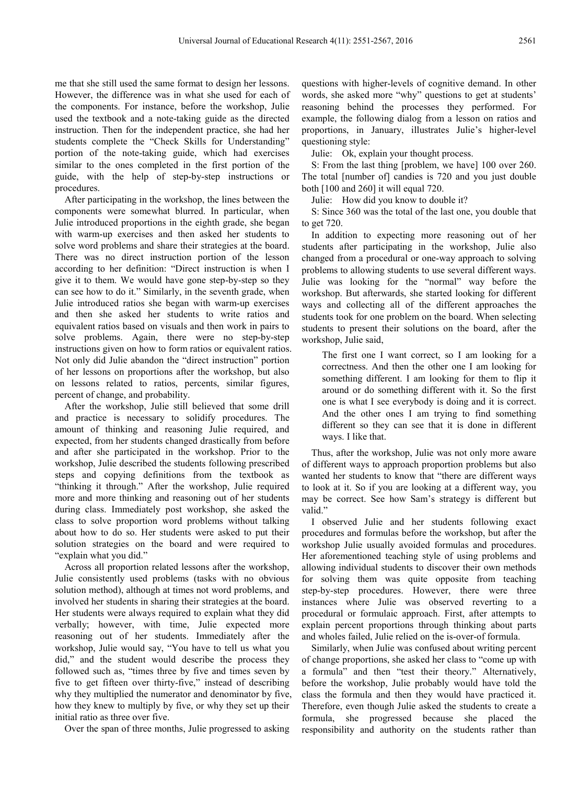me that she still used the same format to design her lessons. However, the difference was in what she used for each of the components. For instance, before the workshop, Julie used the textbook and a note-taking guide as the directed instruction. Then for the independent practice, she had her students complete the "Check Skills for Understanding" portion of the note-taking guide, which had exercises similar to the ones completed in the first portion of the guide, with the help of step-by-step instructions or procedures.

After participating in the workshop, the lines between the components were somewhat blurred. In particular, when Julie introduced proportions in the eighth grade, she began with warm-up exercises and then asked her students to solve word problems and share their strategies at the board. There was no direct instruction portion of the lesson according to her definition: "Direct instruction is when I give it to them. We would have gone step-by-step so they can see how to do it." Similarly, in the seventh grade, when Julie introduced ratios she began with warm-up exercises and then she asked her students to write ratios and equivalent ratios based on visuals and then work in pairs to solve problems. Again, there were no step-by-step instructions given on how to form ratios or equivalent ratios. Not only did Julie abandon the "direct instruction" portion of her lessons on proportions after the workshop, but also on lessons related to ratios, percents, similar figures, percent of change, and probability.

After the workshop, Julie still believed that some drill and practice is necessary to solidify procedures. The amount of thinking and reasoning Julie required, and expected, from her students changed drastically from before and after she participated in the workshop. Prior to the workshop, Julie described the students following prescribed steps and copying definitions from the textbook as "thinking it through." After the workshop, Julie required more and more thinking and reasoning out of her students during class. Immediately post workshop, she asked the class to solve proportion word problems without talking about how to do so. Her students were asked to put their solution strategies on the board and were required to "explain what you did."

Across all proportion related lessons after the workshop, Julie consistently used problems (tasks with no obvious solution method), although at times not word problems, and involved her students in sharing their strategies at the board. Her students were always required to explain what they did verbally; however, with time, Julie expected more reasoning out of her students. Immediately after the workshop, Julie would say, "You have to tell us what you did," and the student would describe the process they followed such as, "times three by five and times seven by five to get fifteen over thirty-five," instead of describing why they multiplied the numerator and denominator by five, how they knew to multiply by five, or why they set up their initial ratio as three over five.

Over the span of three months, Julie progressed to asking

questions with higher-levels of cognitive demand. In other words, she asked more "why" questions to get at students' reasoning behind the processes they performed. For example, the following dialog from a lesson on ratios and proportions, in January, illustrates Julie's higher-level questioning style:

Julie: Ok, explain your thought process.

S: From the last thing [problem, we have] 100 over 260. The total [number of] candies is 720 and you just double both [100 and 260] it will equal 720.

Julie: How did you know to double it?

S: Since 360 was the total of the last one, you double that to get 720.

In addition to expecting more reasoning out of her students after participating in the workshop, Julie also changed from a procedural or one-way approach to solving problems to allowing students to use several different ways. Julie was looking for the "normal" way before the workshop. But afterwards, she started looking for different ways and collecting all of the different approaches the students took for one problem on the board. When selecting students to present their solutions on the board, after the workshop, Julie said,

The first one I want correct, so I am looking for a correctness. And then the other one I am looking for something different. I am looking for them to flip it around or do something different with it. So the first one is what I see everybody is doing and it is correct. And the other ones I am trying to find something different so they can see that it is done in different ways. I like that.

Thus, after the workshop, Julie was not only more aware of different ways to approach proportion problems but also wanted her students to know that "there are different ways to look at it. So if you are looking at a different way, you may be correct. See how Sam's strategy is different but valid."

I observed Julie and her students following exact procedures and formulas before the workshop, but after the workshop Julie usually avoided formulas and procedures. Her aforementioned teaching style of using problems and allowing individual students to discover their own methods for solving them was quite opposite from teaching step-by-step procedures. However, there were three instances where Julie was observed reverting to a procedural or formulaic approach. First, after attempts to explain percent proportions through thinking about parts and wholes failed, Julie relied on the is-over-of formula.

Similarly, when Julie was confused about writing percent of change proportions, she asked her class to "come up with a formula" and then "test their theory." Alternatively, before the workshop, Julie probably would have told the class the formula and then they would have practiced it. Therefore, even though Julie asked the students to create a formula, she progressed because she placed the responsibility and authority on the students rather than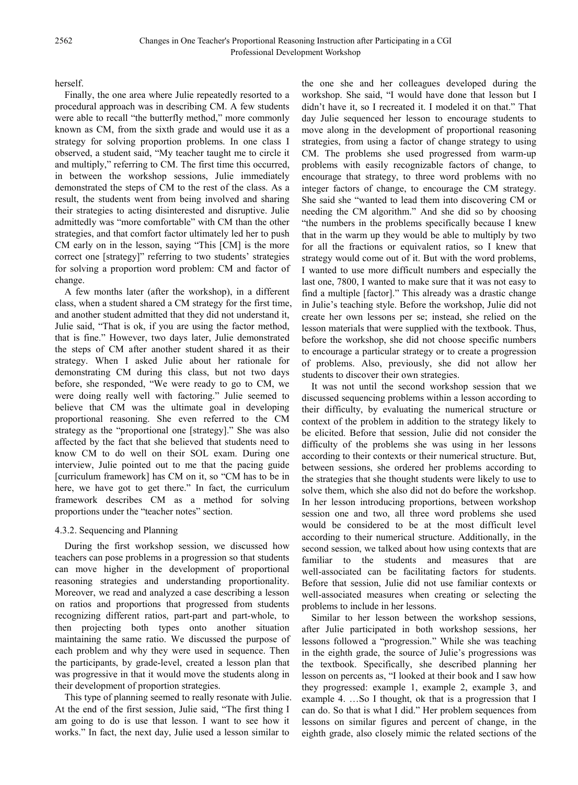#### herself.

Finally, the one area where Julie repeatedly resorted to a procedural approach was in describing CM. A few students were able to recall "the butterfly method," more commonly known as CM, from the sixth grade and would use it as a strategy for solving proportion problems. In one class I observed, a student said, "My teacher taught me to circle it and multiply," referring to CM. The first time this occurred, in between the workshop sessions, Julie immediately demonstrated the steps of CM to the rest of the class. As a result, the students went from being involved and sharing their strategies to acting disinterested and disruptive. Julie admittedly was "more comfortable" with CM than the other strategies, and that comfort factor ultimately led her to push CM early on in the lesson, saying "This [CM] is the more correct one [strategy]" referring to two students' strategies for solving a proportion word problem: CM and factor of change.

A few months later (after the workshop), in a different class, when a student shared a CM strategy for the first time, and another student admitted that they did not understand it, Julie said, "That is ok, if you are using the factor method, that is fine." However, two days later, Julie demonstrated the steps of CM after another student shared it as their strategy. When I asked Julie about her rationale for demonstrating CM during this class, but not two days before, she responded, "We were ready to go to CM, we were doing really well with factoring." Julie seemed to believe that CM was the ultimate goal in developing proportional reasoning. She even referred to the CM strategy as the "proportional one [strategy]." She was also affected by the fact that she believed that students need to know CM to do well on their SOL exam. During one interview, Julie pointed out to me that the pacing guide [curriculum framework] has CM on it, so "CM has to be in here, we have got to get there." In fact, the curriculum framework describes CM as a method for solving proportions under the "teacher notes" section.

#### 4.3.2. Sequencing and Planning

During the first workshop session, we discussed how teachers can pose problems in a progression so that students can move higher in the development of proportional reasoning strategies and understanding proportionality. Moreover, we read and analyzed a case describing a lesson on ratios and proportions that progressed from students recognizing different ratios, part-part and part-whole, to then projecting both types onto another situation maintaining the same ratio. We discussed the purpose of each problem and why they were used in sequence. Then the participants, by grade-level, created a lesson plan that was progressive in that it would move the students along in their development of proportion strategies.

This type of planning seemed to really resonate with Julie. At the end of the first session, Julie said, "The first thing I am going to do is use that lesson. I want to see how it works." In fact, the next day, Julie used a lesson similar to

the one she and her colleagues developed during the workshop. She said, "I would have done that lesson but I didn't have it, so I recreated it. I modeled it on that." That day Julie sequenced her lesson to encourage students to move along in the development of proportional reasoning strategies, from using a factor of change strategy to using CM. The problems she used progressed from warm-up problems with easily recognizable factors of change, to encourage that strategy, to three word problems with no integer factors of change, to encourage the CM strategy. She said she "wanted to lead them into discovering CM or needing the CM algorithm." And she did so by choosing "the numbers in the problems specifically because I knew that in the warm up they would be able to multiply by two for all the fractions or equivalent ratios, so I knew that strategy would come out of it. But with the word problems, I wanted to use more difficult numbers and especially the last one, 7800, I wanted to make sure that it was not easy to find a multiple [factor]." This already was a drastic change in Julie's teaching style. Before the workshop, Julie did not create her own lessons per se; instead, she relied on the lesson materials that were supplied with the textbook. Thus, before the workshop, she did not choose specific numbers to encourage a particular strategy or to create a progression of problems. Also, previously, she did not allow her students to discover their own strategies.

It was not until the second workshop session that we discussed sequencing problems within a lesson according to their difficulty, by evaluating the numerical structure or context of the problem in addition to the strategy likely to be elicited. Before that session, Julie did not consider the difficulty of the problems she was using in her lessons according to their contexts or their numerical structure. But, between sessions, she ordered her problems according to the strategies that she thought students were likely to use to solve them, which she also did not do before the workshop. In her lesson introducing proportions, between workshop session one and two, all three word problems she used would be considered to be at the most difficult level according to their numerical structure. Additionally, in the second session, we talked about how using contexts that are familiar to the students and measures that are well-associated can be facilitating factors for students. Before that session, Julie did not use familiar contexts or well-associated measures when creating or selecting the problems to include in her lessons.

Similar to her lesson between the workshop sessions, after Julie participated in both workshop sessions, her lessons followed a "progression." While she was teaching in the eighth grade, the source of Julie's progressions was the textbook. Specifically, she described planning her lesson on percents as, "I looked at their book and I saw how they progressed: example 1, example 2, example 3, and example 4. …So I thought, ok that is a progression that I can do. So that is what I did." Her problem sequences from lessons on similar figures and percent of change, in the eighth grade, also closely mimic the related sections of the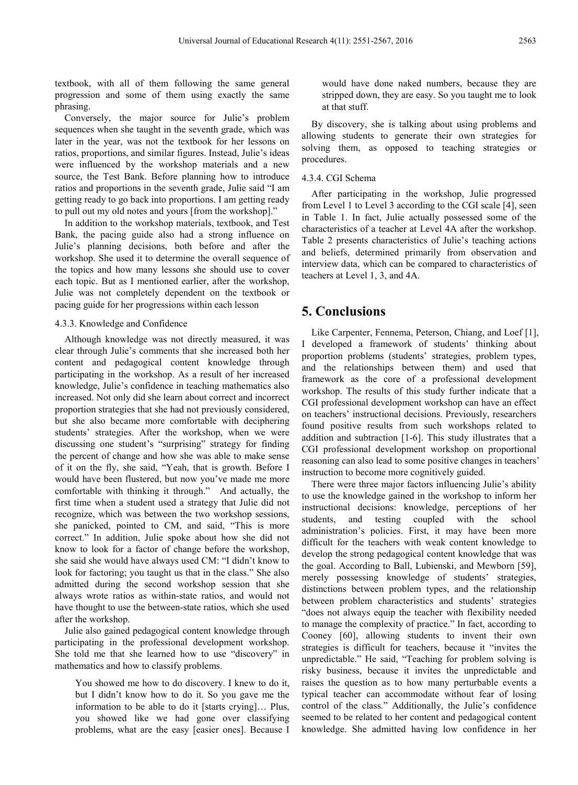textbook, with all of them following the same general progression and some of them using exactly the same phrasing.

Conversely, the major source for Julie's problem sequences when she taught in the seventh grade, which was later in the year, was not the textbook for her lessons on ratios, proportions, and similar figures. Instead, Julie's ideas were influenced by the workshop materials and a new source, the Test Bank. Before planning how to introduce ratios and proportions in the seventh grade, Julie said "I am getting ready to go back into proportions. I am getting ready to pull out my old notes and yours [from the workshop]."

In addition to the workshop materials, textbook, and Test Bank, the pacing guide also had a strong influence on Julie's planning decisions, both before and after the workshop. She used it to determine the overall sequence of the topics and how many lessons she should use to cover each topic. But as I mentioned earlier, after the workshop, Julie was not completely dependent on the textbook or pacing guide for her progressions within each lesson

#### 4.3.3. Knowledge and Confidence

Although knowledge was not directly measured, it was clear through Julie's comments that she increased both her content and pedagogical content knowledge through participating in the workshop. As a result of her increased knowledge, Julie's confidence in teaching mathematics also increased. Not only did she learn about correct and incorrect proportion strategies that she had not previously considered, but she also became more comfortable with deciphering students' strategies. After the workshop, when we were discussing one student's "surprising" strategy for finding the percent of change and how she was able to make sense of it on the fly, she said, "Yeah, that is growth. Before I would have been flustered, but now you've made me more comfortable with thinking it through." And actually, the first time when a student used a strategy that Julie did not recognize, which was between the two workshop sessions, she panicked, pointed to CM, and said, "This is more correct." In addition, Julie spoke about how she did not know to look for a factor of change before the workshop, she said she would have always used CM: "I didn't know to look for factoring; you taught us that in the class." She also admitted during the second workshop session that she always wrote ratios as within-state ratios, and would not have thought to use the between-state ratios, which she used after the workshop.

Julie also gained pedagogical content knowledge through participating in the professional development workshop. She told me that she learned how to use "discovery" in mathematics and how to classify problems.

You showed me how to do discovery. I knew to do it, but I didn't know how to do it. So you gave me the information to be able to do it [starts crying]… Plus, you showed like we had gone over classifying problems, what are the easy [easier ones]. Because I would have done naked numbers, because they are stripped down, they are easy. So you taught me to look at that stuff.

By discovery, she is talking about using problems and allowing students to generate their own strategies for solving them, as opposed to teaching strategies or procedures.

#### 4.3.4. CGI Schema

After participating in the workshop, Julie progressed from Level 1 to Level 3 according to the CGI scale [4], seen in Table 1. In fact, Julie actually possessed some of the characteristics of a teacher at Level 4A after the workshop. Table 2 presents characteristics of Julie's teaching actions and beliefs, determined primarily from observation and interview data, which can be compared to characteristics of teachers at Level 1, 3, and 4A.

## **5. Conclusions**

Like Carpenter, Fennema, Peterson, Chiang, and Loef [1], I developed a framework of students' thinking about proportion problems (students' strategies, problem types, and the relationships between them) and used that framework as the core of a professional development workshop. The results of this study further indicate that a CGI professional development workshop can have an effect on teachers' instructional decisions. Previously, researchers found positive results from such workshops related to addition and subtraction [1-6]. This study illustrates that a CGI professional development workshop on proportional reasoning can also lead to some positive changes in teachers' instruction to become more cognitively guided.

There were three major factors influencing Julie's ability to use the knowledge gained in the workshop to inform her instructional decisions: knowledge, perceptions of her students, and testing coupled with the school administration's policies. First, it may have been more difficult for the teachers with weak content knowledge to develop the strong pedagogical content knowledge that was the goal. According to Ball, Lubienski, and Mewborn [59], merely possessing knowledge of students' strategies, distinctions between problem types, and the relationship between problem characteristics and students' strategies "does not always equip the teacher with flexibility needed to manage the complexity of practice." In fact, according to Cooney [60], allowing students to invent their own strategies is difficult for teachers, because it "invites the unpredictable." He said, "Teaching for problem solving is risky business, because it invites the unpredictable and raises the question as to how many perturbable events a typical teacher can accommodate without fear of losing control of the class." Additionally, the Julie's confidence seemed to be related to her content and pedagogical content knowledge. She admitted having low confidence in her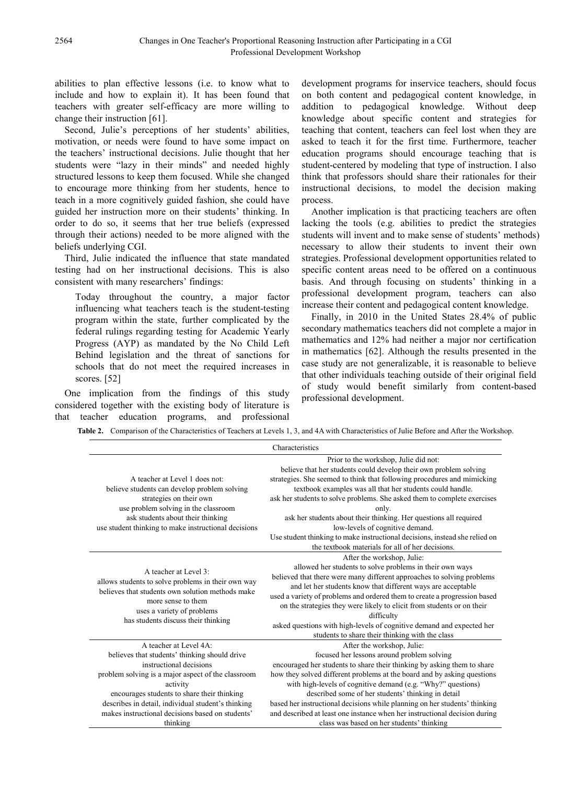abilities to plan effective lessons (i.e. to know what to include and how to explain it). It has been found that teachers with greater self-efficacy are more willing to change their instruction [61].

Second, Julie's perceptions of her students' abilities, motivation, or needs were found to have some impact on the teachers' instructional decisions. Julie thought that her students were "lazy in their minds" and needed highly structured lessons to keep them focused. While she changed to encourage more thinking from her students, hence to teach in a more cognitively guided fashion, she could have guided her instruction more on their students' thinking. In order to do so, it seems that her true beliefs (expressed through their actions) needed to be more aligned with the beliefs underlying CGI.

Third, Julie indicated the influence that state mandated testing had on her instructional decisions. This is also consistent with many researchers' findings:

Today throughout the country, a major factor influencing what teachers teach is the student-testing program within the state, further complicated by the federal rulings regarding testing for Academic Yearly Progress (AYP) as mandated by the No Child Left Behind legislation and the threat of sanctions for schools that do not meet the required increases in scores. [52]

One implication from the findings of this study considered together with the existing body of literature is that teacher education programs, and professional

development programs for inservice teachers, should focus on both content and pedagogical content knowledge, in addition to pedagogical knowledge. Without deep knowledge about specific content and strategies for teaching that content, teachers can feel lost when they are asked to teach it for the first time. Furthermore, teacher education programs should encourage teaching that is student-centered by modeling that type of instruction. I also think that professors should share their rationales for their instructional decisions, to model the decision making process.

Another implication is that practicing teachers are often lacking the tools (e.g. abilities to predict the strategies students will invent and to make sense of students' methods) necessary to allow their students to invent their own strategies. Professional development opportunities related to specific content areas need to be offered on a continuous basis. And through focusing on students' thinking in a professional development program, teachers can also increase their content and pedagogical content knowledge.

Finally, in 2010 in the United States 28.4% of public secondary mathematics teachers did not complete a major in mathematics and 12% had neither a major nor certification in mathematics [62]. Although the results presented in the case study are not generalizable, it is reasonable to believe that other individuals teaching outside of their original field of study would benefit similarly from content-based professional development.

**Table 2.** Comparison of the Characteristics of Teachers at Levels 1, 3, and 4A with Characteristics of Julie Before and After the Workshop.

|                                                                                                                                                                                                                                                                                                                                           | Characteristics                                                                                                                                                                                                                                                                                                                                                                                                                                                                                                                                                                    |
|-------------------------------------------------------------------------------------------------------------------------------------------------------------------------------------------------------------------------------------------------------------------------------------------------------------------------------------------|------------------------------------------------------------------------------------------------------------------------------------------------------------------------------------------------------------------------------------------------------------------------------------------------------------------------------------------------------------------------------------------------------------------------------------------------------------------------------------------------------------------------------------------------------------------------------------|
| A teacher at Level 1 does not:<br>believe students can develop problem solving<br>strategies on their own<br>use problem solving in the classroom<br>ask students about their thinking<br>use student thinking to make instructional decisions                                                                                            | Prior to the workshop, Julie did not:<br>believe that her students could develop their own problem solving<br>strategies. She seemed to think that following procedures and mimicking<br>textbook examples was all that her students could handle.<br>ask her students to solve problems. She asked them to complete exercises<br>only.<br>ask her students about their thinking. Her questions all required<br>low-levels of cognitive demand.<br>Use student thinking to make instructional decisions, instead she relied on<br>the textbook materials for all of her decisions. |
| A teacher at Level $31$<br>allows students to solve problems in their own way<br>believes that students own solution methods make<br>more sense to them<br>uses a variety of problems<br>has students discuss their thinking                                                                                                              | After the workshop, Julie:<br>allowed her students to solve problems in their own ways<br>believed that there were many different approaches to solving problems<br>and let her students know that different ways are acceptable<br>used a variety of problems and ordered them to create a progression based<br>on the strategies they were likely to elicit from students or on their<br>difficulty<br>asked questions with high-levels of cognitive demand and expected her<br>students to share their thinking with the class                                                  |
| A teacher at Level 4A:<br>believes that students' thinking should drive<br>instructional decisions<br>problem solving is a major aspect of the classroom<br>activity<br>encourages students to share their thinking<br>describes in detail, individual student's thinking<br>makes instructional decisions based on students'<br>thinking | After the workshop, Julie:<br>focused her lessons around problem solving<br>encouraged her students to share their thinking by asking them to share<br>how they solved different problems at the board and by asking questions<br>with high-levels of cognitive demand (e.g. "Why?" questions)<br>described some of her students' thinking in detail<br>based her instructional decisions while planning on her students' thinking<br>and described at least one instance when her instructional decision during<br>class was based on her students' thinking                      |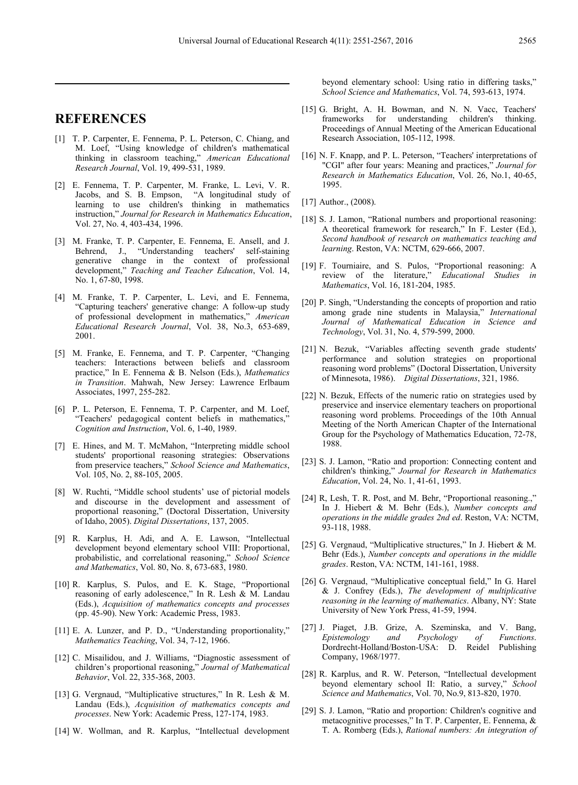## **REFERENCES**

- [1] T. P. Carpenter, E. Fennema, P. L. Peterson, C. Chiang, and M. Loef, "Using knowledge of children's mathematical thinking in classroom teaching," *American Educational Research Journal*, Vol. 19, 499-531, 1989.
- [2] E. Fennema, T. P. Carpenter, M. Franke, L. Levi, V. R. Jacobs, and S. B. Empson, "A longitudinal study of learning to use children's thinking in mathematics instruction," *Journal for Research in Mathematics Education*, Vol. 27, No. 4, 403-434, 1996.
- [3] M. Franke, T. P. Carpenter, E. Fennema, E. Ansell, and J. Behrend, J., "Understanding teachers' self-staining generative change in the context of professional development," *Teaching and Teacher Education*, Vol. 14, No. 1, 67-80, 1998.
- [4] M. Franke, T. P. Carpenter, L. Levi, and E. Fennema, "Capturing teachers' generative change: A follow-up study of professional development in mathematics," *American Educational Research Journal*, Vol. 38, No.3, 653-689, 2001.
- [5] M. Franke, E. Fennema, and T. P. Carpenter, "Changing teachers: Interactions between beliefs and classroom practice," In E. Fennema & B. Nelson (Eds.), *Mathematics in Transition*. Mahwah, New Jersey: Lawrence Erlbaum Associates, 1997, 255-282.
- [6] P. L. Peterson, E. Fennema, T. P. Carpenter, and M. Loef, "Teachers' pedagogical content beliefs in mathematics," *Cognition and Instruction*, Vol. 6, 1-40, 1989.
- [7] E. Hines, and M. T. McMahon, "Interpreting middle school students' proportional reasoning strategies: Observations from preservice teachers," *School Science and Mathematics*, Vol. 105, No. 2, 88-105, 2005.
- [8] W. Ruchti, "Middle school students' use of pictorial models and discourse in the development and assessment of proportional reasoning," (Doctoral Dissertation, University of Idaho, 2005). *Digital Dissertations*, 137, 2005.
- [9] R. Karplus, H. Adi, and A. E. Lawson, "Intellectual development beyond elementary school VIII: Proportional, probabilistic, and correlational reasoning," *School Science and Mathematics*, Vol. 80, No. 8, 673-683, 1980.
- [10] R. Karplus, S. Pulos, and E. K. Stage, "Proportional reasoning of early adolescence," In R. Lesh & M. Landau (Eds.), *Acquisition of mathematics concepts and processes* (pp. 45-90). New York: Academic Press, 1983.
- [11] E. A. Lunzer, and P. D., "Understanding proportionality," *Mathematics Teaching*, Vol. 34, 7-12, 1966.
- [12] C. Misailidou, and J. Williams, "Diagnostic assessment of children's proportional reasoning," *Journal of Mathematical Behavior*, Vol. 22, 335-368, 2003.
- [13] G. Vergnaud, "Multiplicative structures," In R. Lesh & M. Landau (Eds.), *Acquisition of mathematics concepts and processes*. New York: Academic Press, 127-174, 1983.
- [14] W. Wollman, and R. Karplus, "Intellectual development

beyond elementary school: Using ratio in differing tasks," *School Science and Mathematics*, Vol. 74, 593-613, 1974.

- [15] G. Bright, A. H. Bowman, and N. N. Vacc, Teachers' frameworks for understanding children's thinking. Proceedings of Annual Meeting of the American Educational Research Association, 105-112, 1998.
- [16] N. F. Knapp, and P. L. Peterson, "Teachers' interpretations of "CGI" after four years: Meaning and practices," *Journal for Research in Mathematics Education*, Vol. 26, No.1, 40-65, 1995.
- [17] Author., (2008).
- [18] S. J. Lamon, "Rational numbers and proportional reasoning: A theoretical framework for research," In F. Lester (Ed.), *Second handbook of research on mathematics teaching and learning*. Reston, VA: NCTM, 629-666, 2007.
- [19] F. Tourniaire, and S. Pulos, "Proportional reasoning: A review of the literature," *Educational Studies in Mathematics*, Vol. 16, 181-204, 1985.
- [20] P. Singh, "Understanding the concepts of proportion and ratio among grade nine students in Malaysia," *International Journal of Mathematical Education in Science and Technology*, Vol. 31, No. 4, 579-599, 2000.
- [21] N. Bezuk, "Variables affecting seventh grade students' performance and solution strategies on proportional reasoning word problems" (Doctoral Dissertation, University of Minnesota, 1986). *Digital Dissertations*, 321, 1986.
- [22] N. Bezuk, Effects of the numeric ratio on strategies used by preservice and inservice elementary teachers on proportional reasoning word problems. Proceedings of the 10th Annual Meeting of the North American Chapter of the International Group for the Psychology of Mathematics Education, 72-78, 1988.
- [23] S. J. Lamon, "Ratio and proportion: Connecting content and children's thinking," *Journal for Research in Mathematics Education*, Vol. 24, No. 1, 41-61, 1993.
- [24] R, Lesh, T. R. Post, and M. Behr, "Proportional reasoning.," In J. Hiebert & M. Behr (Eds.), *Number concepts and operations in the middle grades 2nd ed*. Reston, VA: NCTM, 93-118, 1988.
- [25] G. Vergnaud, "Multiplicative structures," In J. Hiebert & M. Behr (Eds.), *Number concepts and operations in the middle grades*. Reston, VA: NCTM, 141-161, 1988.
- [26] G. Vergnaud, "Multiplicative conceptual field," In G. Harel & J. Confrey (Eds.), *The development of multiplicative reasoning in the learning of mathematics*. Albany, NY: State University of New York Press, 41-59, 1994.
- [27] J. Piaget, J.B. Grize, A. Szeminska, and V. Bang, *Epistemology and Psychology of Functions*. Dordrecht-Holland/Boston-USA: D. Reidel Publishing Company, 1968/1977.
- [28] R. Karplus, and R. W. Peterson, "Intellectual development beyond elementary school II: Ratio, a survey," *School Science and Mathematics*, Vol. 70, No.9, 813-820, 1970.
- [29] S. J. Lamon, "Ratio and proportion: Children's cognitive and metacognitive processes," In T. P. Carpenter, E. Fennema, & T. A. Romberg (Eds.), *Rational numbers: An integration of*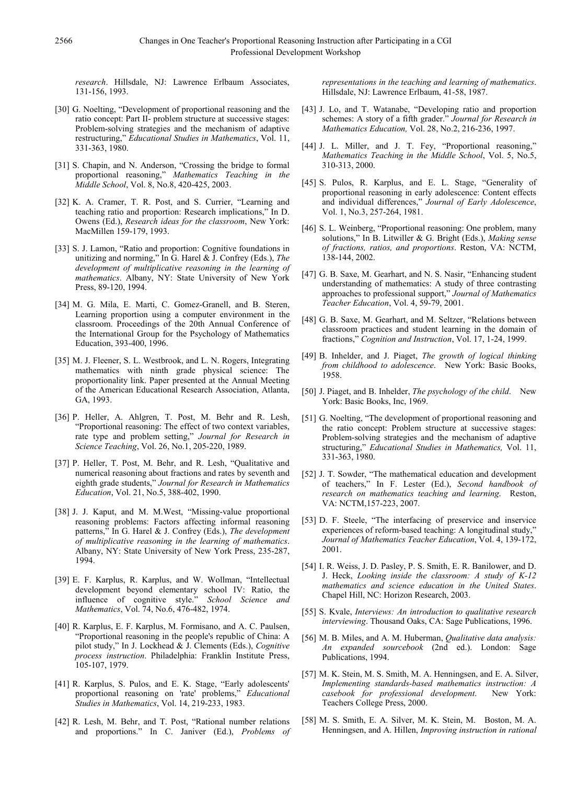*research*. Hillsdale, NJ: Lawrence Erlbaum Associates, 131-156, 1993.

- [30] G. Noelting, "Development of proportional reasoning and the ratio concept: Part II- problem structure at successive stages: Problem-solving strategies and the mechanism of adaptive restructuring," *Educational Studies in Mathematics*, Vol. 11, 331-363, 1980.
- [31] S. Chapin, and N. Anderson, "Crossing the bridge to formal proportional reasoning," *Mathematics Teaching in the Middle School*, Vol. 8, No.8, 420-425, 2003.
- [32] K. A. Cramer, T. R. Post, and S. Currier, "Learning and teaching ratio and proportion: Research implications," In D. Owens (Ed.), *Research ideas for the classroom*, New York: MacMillen 159-179, 1993.
- [33] S. J. Lamon, "Ratio and proportion: Cognitive foundations in unitizing and norming," In G. Harel & J. Confrey (Eds.), *The development of multiplicative reasoning in the learning of mathematics*. Albany, NY: State University of New York Press, 89-120, 1994.
- [34] M. G. Mila, E. Marti, C. Gomez-Granell, and B. Steren, Learning proportion using a computer environment in the classroom. Proceedings of the 20th Annual Conference of the International Group for the Psychology of Mathematics Education, 393-400, 1996.
- [35] M. J. Fleener, S. L. Westbrook, and L. N. Rogers, Integrating mathematics with ninth grade physical science: The proportionality link. Paper presented at the Annual Meeting of the American Educational Research Association, Atlanta, GA, 1993.
- [36] P. Heller, A. Ahlgren, T. Post, M. Behr and R. Lesh, "Proportional reasoning: The effect of two context variables, rate type and problem setting," *Journal for Research in Science Teaching*, Vol. 26, No.1, 205-220, 1989.
- [37] P. Heller, T. Post, M. Behr, and R. Lesh, "Qualitative and numerical reasoning about fractions and rates by seventh and eighth grade students," *Journal for Research in Mathematics Education*, Vol. 21, No.5, 388-402, 1990.
- [38] J. J. Kaput, and M. M.West, "Missing-value proportional reasoning problems: Factors affecting informal reasoning patterns," In G. Harel & J. Confrey (Eds.), *The development of multiplicative reasoning in the learning of mathematics*. Albany, NY: State University of New York Press, 235-287, 1994.
- [39] E. F. Karplus, R. Karplus, and W. Wollman, "Intellectual development beyond elementary school IV: Ratio, the influence of cognitive style." *School Science and Mathematics*, Vol. 74, No.6, 476-482, 1974.
- [40] R. Karplus, E. F. Karplus, M. Formisano, and A. C. Paulsen, "Proportional reasoning in the people's republic of China: A pilot study," In J. Lockhead & J. Clements (Eds.), *Cognitive process instruction*. Philadelphia: Franklin Institute Press, 105-107, 1979.
- [41] R. Karplus, S. Pulos, and E. K. Stage, "Early adolescents' proportional reasoning on 'rate' problems," *Educational Studies in Mathematics*, Vol. 14, 219-233, 1983.
- [42] R. Lesh, M. Behr, and T. Post, "Rational number relations and proportions." In C. Janiver (Ed.), *Problems of*

*representations in the teaching and learning of mathematics*. Hillsdale, NJ: Lawrence Erlbaum, 41-58, 1987.

- [43] J. Lo, and T. Watanabe, "Developing ratio and proportion schemes: A story of a fifth grader." *Journal for Research in Mathematics Education,* Vol. 28, No.2, 216-236, 1997.
- [44] J. L. Miller, and J. T. Fey, "Proportional reasoning," *Mathematics Teaching in the Middle School*, Vol. 5, No.5, 310-313, 2000.
- [45] S. Pulos, R. Karplus, and E. L. Stage, "Generality of proportional reasoning in early adolescence: Content effects and individual differences," *Journal of Early Adolescence*, Vol. 1, No.3, 257-264, 1981.
- [46] S. L. Weinberg, "Proportional reasoning: One problem, many solutions," In B. Litwiller & G. Bright (Eds.), *Making sense of fractions, ratios, and proportions*. Reston, VA: NCTM, 138-144, 2002.
- [47] G. B. Saxe, M. Gearhart, and N. S. Nasir, "Enhancing student understanding of mathematics: A study of three contrasting approaches to professional support," *Journal of Mathematics Teacher Education*, Vol. 4, 59-79, 2001.
- [48] G. B. Saxe, M. Gearhart, and M. Seltzer, "Relations between classroom practices and student learning in the domain of fractions," *Cognition and Instruction*, Vol. 17, 1-24, 1999.
- [49] B. Inhelder, and J. Piaget, *The growth of logical thinking from childhood to adolescence*. New York: Basic Books, 1958.
- [50] J. Piaget, and B. Inhelder, *The psychology of the child*. New York: Basic Books, Inc, 1969.
- [51] G. Noelting, "The development of proportional reasoning and the ratio concept: Problem structure at successive stages: Problem-solving strategies and the mechanism of adaptive structuring," *Educational Studies in Mathematics,* Vol. 11, 331-363, 1980.
- [52] J. T. Sowder, "The mathematical education and development of teachers," In F. Lester (Ed.), *Second handbook of research on mathematics teaching and learning*. Reston, VA: NCTM,157-223, 2007.
- [53] D. F. Steele, "The interfacing of preservice and inservice experiences of reform-based teaching: A longitudinal study," *Journal of Mathematics Teacher Education*, Vol. 4, 139-172, 2001.
- [54] I. R. Weiss, J. D. Pasley, P. S. Smith, E. R. Banilower, and D. J. Heck, *Looking inside the classroom: A study of K-12 mathematics and science education in the United States*. Chapel Hill, NC: Horizon Research, 2003.
- [55] S. Kvale, *Interviews: An introduction to qualitative research interviewing*. Thousand Oaks, CA: Sage Publications, 1996.
- [56] M. B. Miles, and A. M. Huberman, *Qualitative data analysis: An expanded sourcebook* (2nd ed.). London: Sage Publications, 1994.
- [57] M. K. Stein, M. S. Smith, M. A. Henningsen, and E. A. Silver, *Implementing standards-based mathematics instruction: A casebook for professional development*. New York: Teachers College Press, 2000.
- [58] M. S. Smith, E. A. Silver, M. K. Stein, M. Boston, M. A. Henningsen, and A. Hillen, *Improving instruction in rational*